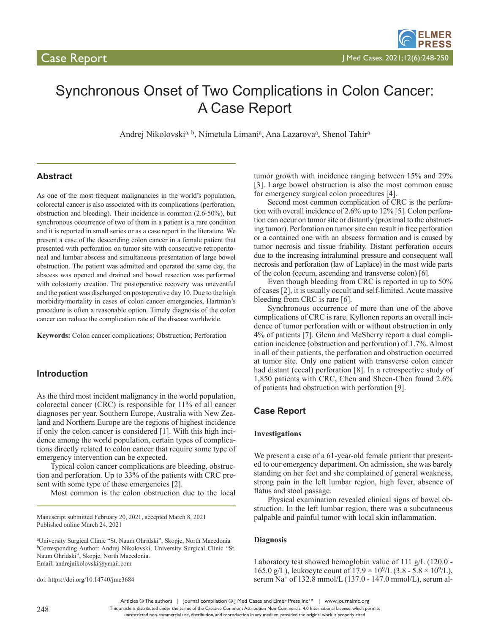# Synchronous Onset of Two Complications in Colon Cancer: A Case Report

Andrej Nikolovski<sup>a, b</sup>, Nimetula Limani<sup>a</sup>, Ana Lazarova<sup>a</sup>, Shenol Tahir<sup>a</sup>

## **Abstract**

As one of the most frequent malignancies in the world's population, colorectal cancer is also associated with its complications (perforation, obstruction and bleeding). Their incidence is common (2.6-50%), but synchronous occurrence of two of them in a patient is a rare condition and it is reported in small series or as a case report in the literature. We present a case of the descending colon cancer in a female patient that presented with perforation on tumor site with consecutive retroperitoneal and lumbar abscess and simultaneous presentation of large bowel obstruction. The patient was admitted and operated the same day, the abscess was opened and drained and bowel resection was performed with colostomy creation. The postoperative recovery was uneventful and the patient was discharged on postoperative day 10. Due to the high morbidity/mortality in cases of colon cancer emergencies, Hartman's procedure is often a reasonable option. Timely diagnosis of the colon cancer can reduce the complication rate of the disease worldwide.

**Keywords:** Colon cancer complications; Obstruction; Perforation

#### **Introduction**

As the third most incident malignancy in the world population, colorectal cancer (CRC) is responsible for 11% of all cancer diagnoses per year. Southern Europe, Australia with New Zealand and Northern Europe are the regions of highest incidence if only the colon cancer is considered [1]. With this high incidence among the world population, certain types of complications directly related to colon cancer that require some type of emergency intervention can be expected.

Typical colon cancer complications are bleeding, obstruction and perforation. Up to 33% of the patients with CRC present with some type of these emergencies [2].

Most common is the colon obstruction due to the local

Manuscript submitted February 20, 2021, accepted March 8, 2021 Published online March 24, 2021

doi: https://doi.org/10.14740/jmc3684

tumor growth with incidence ranging between 15% and 29% [3]. Large bowel obstruction is also the most common cause for emergency surgical colon procedures [4].

Second most common complication of CRC is the perforation with overall incidence of 2.6% up to 12% [5]. Colon perforation can occur on tumor site or distantly (proximal to the obstructing tumor). Perforation on tumor site can result in free perforation or a contained one with an abscess formation and is caused by tumor necrosis and tissue friability. Distant perforation occurs due to the increasing intraluminal pressure and consequent wall necrosis and perforation (law of Laplace) in the most wide parts of the colon (cecum, ascending and transverse colon) [6].

Even though bleeding from CRC is reported in up to 50% of cases [2], it is usually occult and self-limited. Acute massive bleeding from CRC is rare [6].

Synchronous occurrence of more than one of the above complications of CRC is rare. Kyllonen reports an overall incidence of tumor perforation with or without obstruction in only 4% of patients [7]. Glenn and McSherry report a dual complication incidence (obstruction and perforation) of 1.7%. Almost in all of their patients, the perforation and obstruction occurred at tumor site. Only one patient with transverse colon cancer had distant (cecal) perforation [8]. In a retrospective study of 1,850 patients with CRC, Chen and Sheen-Chen found 2.6% of patients had obstruction with perforation [9].

#### **Case Report**

#### **Investigations**

We present a case of a 61-year-old female patient that presented to our emergency department. On admission, she was barely standing on her feet and she complained of general weakness, strong pain in the left lumbar region, high fever, absence of flatus and stool passage.

Physical examination revealed clinical signs of bowel obstruction. In the left lumbar region, there was a subcutaneous palpable and painful tumor with local skin inflammation.

#### **Diagnosis**

Laboratory test showed hemoglobin value of 111 g/L (120.0 - 165.0 g/L), leukocyte count of  $17.9 \times 10^9$ /L (3.8 - 5.8  $\times 10^9$ /L), serum Na<sup>+</sup> of 132.8 mmol/L (137.0 - 147.0 mmol/L), serum al-

Articles © The authors | Journal compilation © J Med Cases and Elmer Press Inc™ | www.journalmc.org

This article is distributed under the terms of the Creative Commons Attribution Non-Commercial 4.0 International License, which permits unrestricted non-commercial use, distribution, and reproduction in any medium, provided the original work is properly cited

a University Surgical Clinic "St. Naum Ohridski", Skopje, North Macedonia bCorresponding Author: Andrej Nikolovski, University Surgical Clinic "St. Naum Ohridski", Skopje, North Macedonia. Email: andrejnikolovski@ymail.com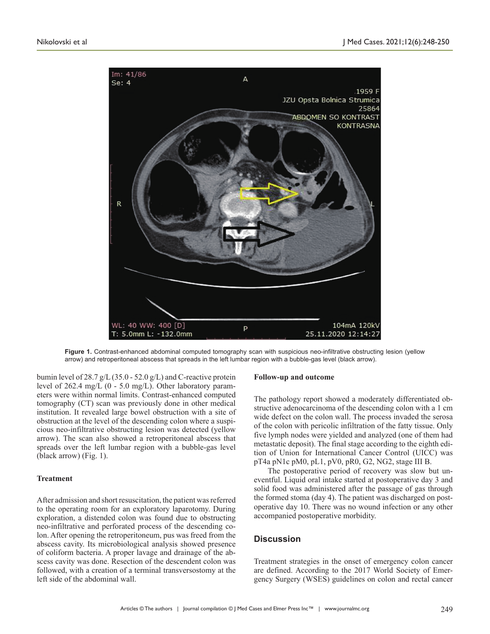

**Figure 1.** Contrast-enhanced abdominal computed tomography scan with suspicious neo-infiltrative obstructing lesion (yellow arrow) and retroperitoneal abscess that spreads in the left lumbar region with a bubble-gas level (black arrow).

bumin level of 28.7 g/L (35.0 - 52.0 g/L) and C-reactive protein level of 262.4 mg/L (0 - 5.0 mg/L). Other laboratory parameters were within normal limits. Contrast-enhanced computed tomography (CT) scan was previously done in other medical institution. It revealed large bowel obstruction with a site of obstruction at the level of the descending colon where a suspicious neo-infiltrative obstructing lesion was detected (yellow arrow). The scan also showed a retroperitoneal abscess that spreads over the left lumbar region with a bubble-gas level (black arrow) (Fig. 1).

#### **Treatment**

After admission and short resuscitation, the patient was referred to the operating room for an exploratory laparotomy. During exploration, a distended colon was found due to obstructing neo-infiltrative and perforated process of the descending colon. After opening the retroperitoneum, pus was freed from the abscess cavity. Its microbiological analysis showed presence of coliform bacteria. A proper lavage and drainage of the abscess cavity was done. Resection of the descendent colon was followed, with a creation of a terminal transversostomy at the left side of the abdominal wall.

#### **Follow-up and outcome**

The pathology report showed a moderately differentiated obstructive adenocarcinoma of the descending colon with a 1 cm wide defect on the colon wall. The process invaded the serosa of the colon with pericolic infiltration of the fatty tissue. Only five lymph nodes were yielded and analyzed (one of them had metastatic deposit). The final stage according to the eighth edition of Union for International Cancer Control (UICC) was pT4a pN1c pM0, pL1, pV0, pR0, G2, NG2, stage III B.

The postoperative period of recovery was slow but uneventful. Liquid oral intake started at postoperative day 3 and solid food was administered after the passage of gas through the formed stoma (day 4). The patient was discharged on postoperative day 10. There was no wound infection or any other accompanied postoperative morbidity.

#### **Discussion**

Treatment strategies in the onset of emergency colon cancer are defined. According to the 2017 World Society of Emergency Surgery (WSES) guidelines on colon and rectal cancer